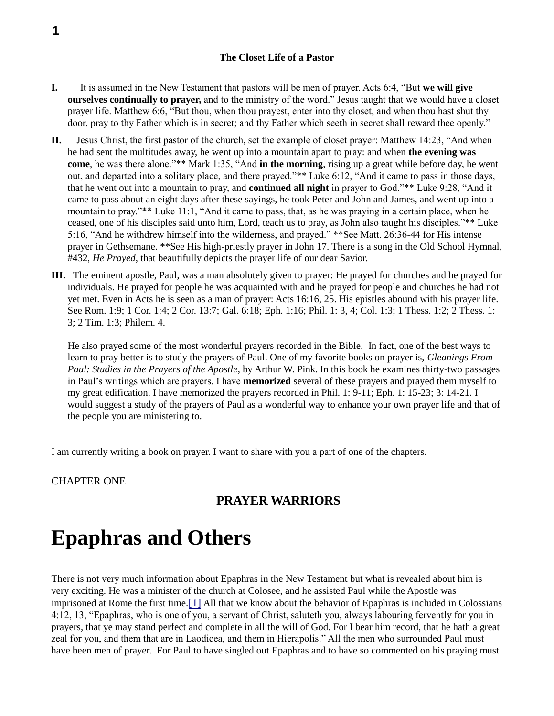#### **The Closet Life of a Pastor**

- **I.** It is assumed in the New Testament that pastors will be men of prayer. Acts 6:4, "But **we will give ourselves continually to prayer,** and to the ministry of the word." Jesus taught that we would have a closet prayer life. Matthew 6:6, "But thou, when thou prayest, enter into thy closet, and when thou hast shut thy door, pray to thy Father which is in secret; and thy Father which seeth in secret shall reward thee openly."
- **II.** Jesus Christ, the first pastor of the church, set the example of closet prayer: Matthew 14:23, "And when he had sent the multitudes away, he went up into a mountain apart to pray: and when **the evening was come**, he was there alone."\*\* Mark 1:35, "And **in the morning**, rising up a great while before day, he went out, and departed into a solitary place, and there prayed."\*\* Luke 6:12, "And it came to pass in those days, that he went out into a mountain to pray, and **continued all night** in prayer to God."\*\* Luke 9:28, "And it came to pass about an eight days after these sayings, he took Peter and John and James, and went up into a mountain to pray."\*\* Luke 11:1, "And it came to pass, that, as he was praying in a certain place, when he ceased, one of his disciples said unto him, Lord, teach us to pray, as John also taught his disciples."\*\* Luke 5:16, "And he withdrew himself into the wilderness, and prayed." \*\*See Matt. 26:36-44 for His intense prayer in Gethsemane. \*\*See His high-priestly prayer in John 17. There is a song in the Old School Hymnal, #432, *He Prayed*, that beautifully depicts the prayer life of our dear Savior.
- **III.** The eminent apostle, Paul, was a man absolutely given to prayer: He prayed for churches and he prayed for individuals. He prayed for people he was acquainted with and he prayed for people and churches he had not yet met. Even in Acts he is seen as a man of prayer: Acts 16:16, 25. His epistles abound with his prayer life. See Rom. 1:9; 1 Cor. 1:4; 2 Cor. 13:7; Gal. 6:18; Eph. 1:16; Phil. 1: 3, 4; Col. 1:3; 1 Thess. 1:2; 2 Thess. 1: 3; 2 Tim. 1:3; Philem. 4.

He also prayed some of the most wonderful prayers recorded in the Bible. In fact, one of the best ways to learn to pray better is to study the prayers of Paul. One of my favorite books on prayer is, *Gleanings From Paul: Studies in the Prayers of the Apostle*, by Arthur W. Pink. In this book he examines thirty-two passages in Paul's writings which are prayers. I have **memorized** several of these prayers and prayed them myself to my great edification. I have memorized the prayers recorded in Phil. 1: 9-11; Eph. 1: 15-23; 3: 14-21. I would suggest a study of the prayers of Paul as a wonderful way to enhance your own prayer life and that of the people you are ministering to.

I am currently writing a book on prayer. I want to share with you a part of one of the chapters.

CHAPTER ONE

## **PRAYER WARRIORS**

# **Epaphras and Others**

There is not very much information about Epaphras in the New Testament but what is revealed about him is very exciting. He was a minister of the church at Colosee, and he assisted Paul while the Apostle was imprisoned at Rome the first time.[1] All that we know about the behavior of Epaphras is included in Colossians 4:12, 13, "Epaphras, who is one of you, a servant of Christ, saluteth you, always labouring fervently for you in prayers, that ye may stand perfect and complete in all the will of God. For I bear him record, that he hath a great zeal for you, and them that are in Laodicea, and them in Hierapolis." All the men who surrounded Paul must have been men of prayer. For Paul to have singled out Epaphras and to have so commented on his praying must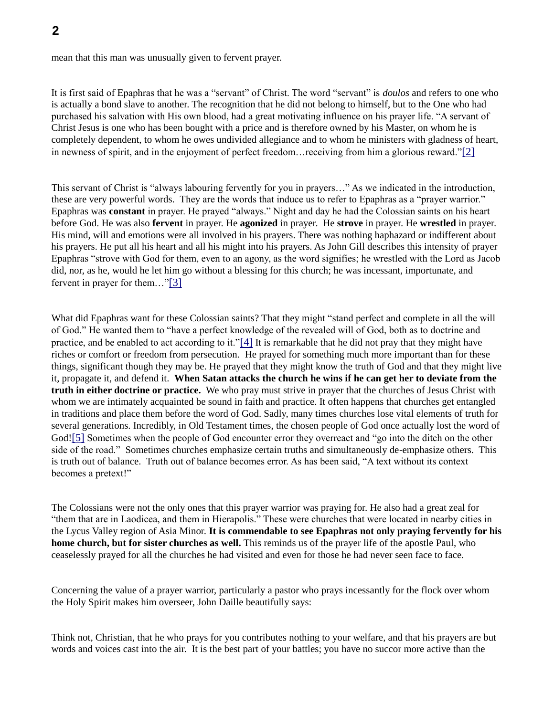mean that this man was unusually given to fervent prayer.

It is first said of Epaphras that he was a "servant" of Christ. The word "servant" is *doulos* and refers to one who is actually a bond slave to another. The recognition that he did not belong to himself, but to the One who had purchased his salvation with His own blood, had a great motivating influence on his prayer life. "A servant of Christ Jesus is one who has been bought with a price and is therefore owned by his Master, on whom he is completely dependent, to whom he owes undivided allegiance and to whom he ministers with gladness of heart, in newness of spirit, and in the enjoyment of perfect freedom…receiving from him a glorious reward."[2]

This servant of Christ is "always labouring fervently for you in prayers…" As we indicated in the introduction, these are very powerful words. They are the words that induce us to refer to Epaphras as a "prayer warrior." Epaphras was **constant** in prayer. He prayed "always." Night and day he had the Colossian saints on his heart before God. He was also **fervent** in prayer. He **agonized** in prayer. He **strove** in prayer. He **wrestled** in prayer. His mind, will and emotions were all involved in his prayers. There was nothing haphazard or indifferent about his prayers. He put all his heart and all his might into his prayers. As John Gill describes this intensity of prayer Epaphras "strove with God for them, even to an agony, as the word signifies; he wrestled with the Lord as Jacob did, nor, as he, would he let him go without a blessing for this church; he was incessant, importunate, and fervent in prayer for them…"[3]

What did Epaphras want for these Colossian saints? That they might "stand perfect and complete in all the will of God." He wanted them to "have a perfect knowledge of the revealed will of God, both as to doctrine and practice, and be enabled to act according to it."[4] It is remarkable that he did not pray that they might have riches or comfort or freedom from persecution. He prayed for something much more important than for these things, significant though they may be. He prayed that they might know the truth of God and that they might live it, propagate it, and defend it. **When Satan attacks the church he wins if he can get her to deviate from the truth in either doctrine or practice.** We who pray must strive in prayer that the churches of Jesus Christ with whom we are intimately acquainted be sound in faith and practice. It often happens that churches get entangled in traditions and place them before the word of God. Sadly, many times churches lose vital elements of truth for several generations. Incredibly, in Old Testament times, the chosen people of God once actually lost the word of God![5] Sometimes when the people of God encounter error they overreact and "go into the ditch on the other side of the road." Sometimes churches emphasize certain truths and simultaneously de-emphasize others. This is truth out of balance. Truth out of balance becomes error. As has been said, "A text without its context becomes a pretext!"

The Colossians were not the only ones that this prayer warrior was praying for. He also had a great zeal for "them that are in Laodicea, and them in Hierapolis." These were churches that were located in nearby cities in the Lycus Valley region of Asia Minor. **It is commendable to see Epaphras not only praying fervently for his home church, but for sister churches as well.** This reminds us of the prayer life of the apostle Paul, who ceaselessly prayed for all the churches he had visited and even for those he had never seen face to face.

Concerning the value of a prayer warrior, particularly a pastor who prays incessantly for the flock over whom the Holy Spirit makes him overseer, John Daille beautifully says:

Think not, Christian, that he who prays for you contributes nothing to your welfare, and that his prayers are but words and voices cast into the air. It is the best part of your battles; you have no succor more active than the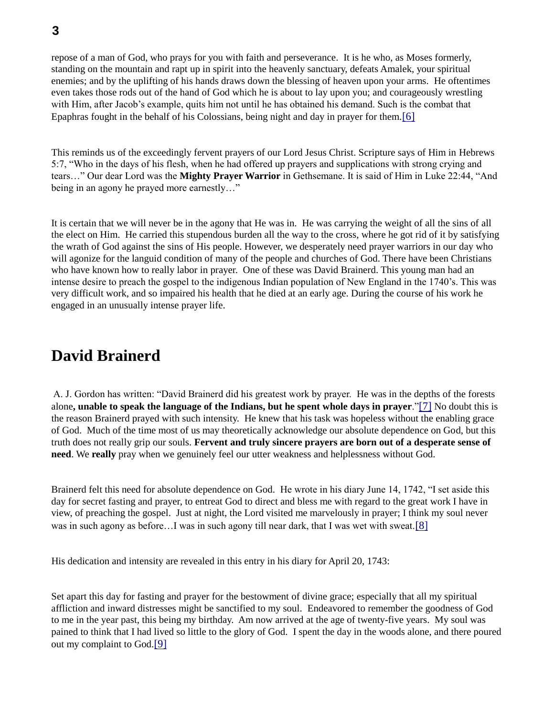repose of a man of God, who prays for you with faith and perseverance. It is he who, as Moses formerly, standing on the mountain and rapt up in spirit into the heavenly sanctuary, defeats Amalek, your spiritual enemies; and by the uplifting of his hands draws down the blessing of heaven upon your arms. He oftentimes even takes those rods out of the hand of God which he is about to lay upon you; and courageously wrestling with Him, after Jacob's example, quits him not until he has obtained his demand. Such is the combat that Epaphras fought in the behalf of his Colossians, being night and day in prayer for them.[6]

This reminds us of the exceedingly fervent prayers of our Lord Jesus Christ. Scripture says of Him in Hebrews 5:7, "Who in the days of his flesh, when he had offered up prayers and supplications with strong crying and tears…" Our dear Lord was the **Mighty Prayer Warrior** in Gethsemane. It is said of Him in Luke 22:44, "And being in an agony he prayed more earnestly…"

It is certain that we will never be in the agony that He was in. He was carrying the weight of all the sins of all the elect on Him. He carried this stupendous burden all the way to the cross, where he got rid of it by satisfying the wrath of God against the sins of His people. However, we desperately need prayer warriors in our day who will agonize for the languid condition of many of the people and churches of God. There have been Christians who have known how to really labor in prayer. One of these was David Brainerd. This young man had an intense desire to preach the gospel to the indigenous Indian population of New England in the 1740's. This was very difficult work, and so impaired his health that he died at an early age. During the course of his work he engaged in an unusually intense prayer life.

## **David Brainerd**

A. J. Gordon has written: "David Brainerd did his greatest work by prayer. He was in the depths of the forests alone**, unable to speak the language of the Indians, but he spent whole days in prayer**."[7] No doubt this is the reason Brainerd prayed with such intensity. He knew that his task was hopeless without the enabling grace of God. Much of the time most of us may theoretically acknowledge our absolute dependence on God, but this truth does not really grip our souls. **Fervent and truly sincere prayers are born out of a desperate sense of need**. We **really** pray when we genuinely feel our utter weakness and helplessness without God.

Brainerd felt this need for absolute dependence on God. He wrote in his diary June 14, 1742, "I set aside this day for secret fasting and prayer, to entreat God to direct and bless me with regard to the great work I have in view, of preaching the gospel. Just at night, the Lord visited me marvelously in prayer; I think my soul never was in such agony as before…I was in such agony till near dark, that I was wet with sweat.[8]

His dedication and intensity are revealed in this entry in his diary for April 20, 1743:

Set apart this day for fasting and prayer for the bestowment of divine grace; especially that all my spiritual affliction and inward distresses might be sanctified to my soul. Endeavored to remember the goodness of God to me in the year past, this being my birthday. Am now arrived at the age of twenty-five years. My soul was pained to think that I had lived so little to the glory of God. I spent the day in the woods alone, and there poured out my complaint to God.[9]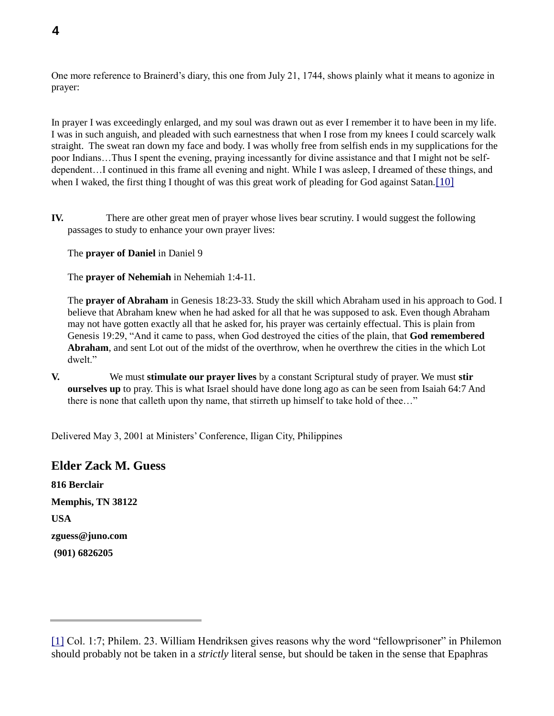One more reference to Brainerd's diary, this one from July 21, 1744, shows plainly what it means to agonize in prayer:

In prayer I was exceedingly enlarged, and my soul was drawn out as ever I remember it to have been in my life. I was in such anguish, and pleaded with such earnestness that when I rose from my knees I could scarcely walk straight. The sweat ran down my face and body. I was wholly free from selfish ends in my supplications for the poor Indians…Thus I spent the evening, praying incessantly for divine assistance and that I might not be selfdependent…I continued in this frame all evening and night. While I was asleep, I dreamed of these things, and when I waked, the first thing I thought of was this great work of pleading for God against Satan. [10]

**IV.** There are other great men of prayer whose lives bear scrutiny. I would suggest the following passages to study to enhance your own prayer lives:

The **prayer of Daniel** in Daniel 9

The **prayer of Nehemiah** in Nehemiah 1:4-11.

The **prayer of Abraham** in Genesis 18:23-33. Study the skill which Abraham used in his approach to God. I believe that Abraham knew when he had asked for all that he was supposed to ask. Even though Abraham may not have gotten exactly all that he asked for, his prayer was certainly effectual. This is plain from Genesis 19:29, "And it came to pass, when God destroyed the cities of the plain, that **God remembered Abraham**, and sent Lot out of the midst of the overthrow, when he overthrew the cities in the which Lot dwelt."

**V.** We must **stimulate our prayer lives** by a constant Scriptural study of prayer. We must **stir ourselves up** to pray. This is what Israel should have done long ago as can be seen from Isaiah 64:7 And there is none that calleth upon thy name, that stirreth up himself to take hold of thee…"

Delivered May 3, 2001 at Ministers' Conference, Iligan City, Philippines

### **Elder Zack M. Guess**

**816 Berclair Memphis, TN 38122 USA zguess@juno.com (901) 6826205**

<sup>[1]</sup> Col. 1:7; Philem. 23. William Hendriksen gives reasons why the word "fellowprisoner" in Philemon should probably not be taken in a *strictly* literal sense, but should be taken in the sense that Epaphras